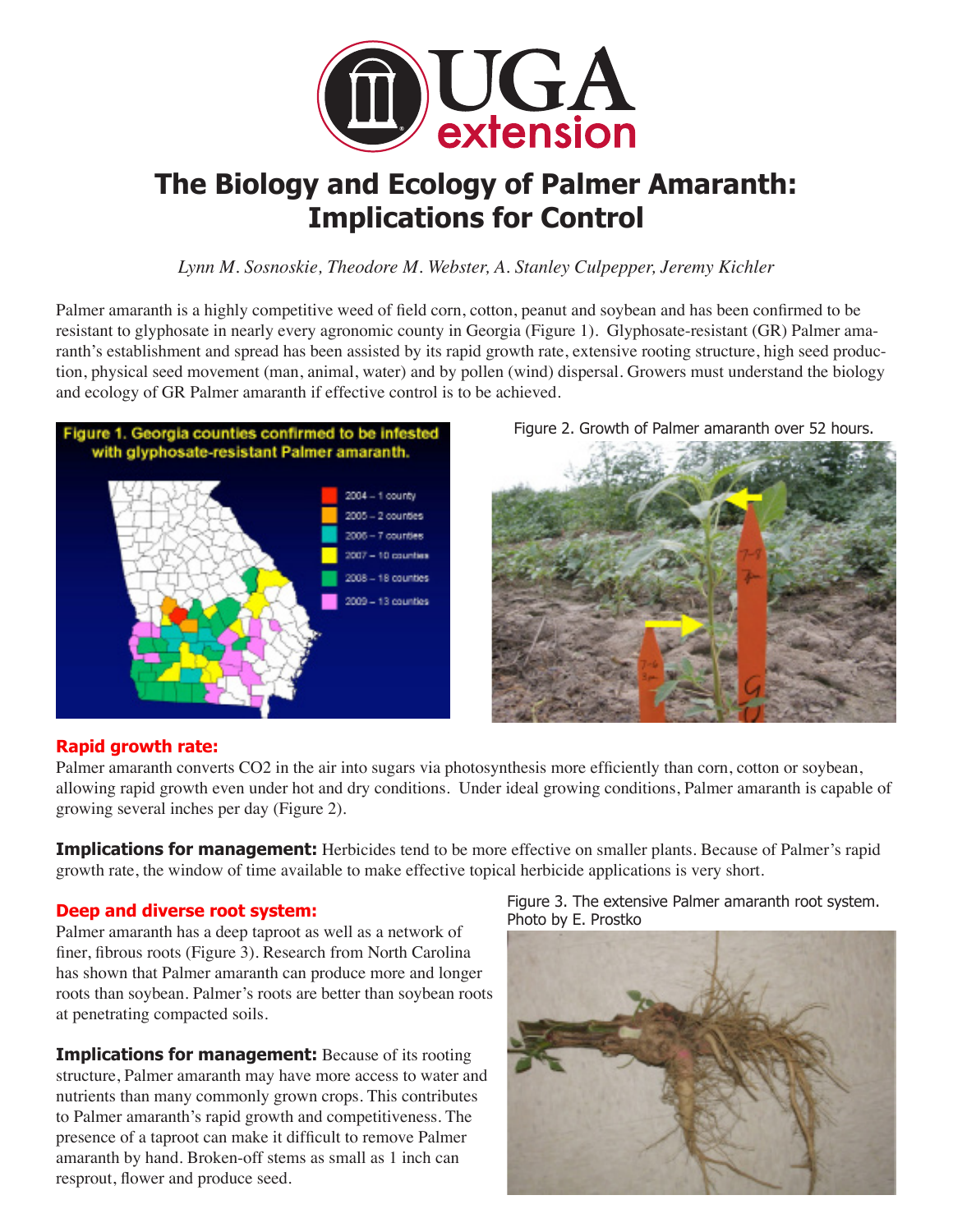

# **The Biology and Ecology of Palmer Amaranth: Implications for Control**

*Lynn M. Sosnoskie, Theodore M. Webster, A. Stanley Culpepper, Jeremy Kichler*

Palmer amaranth is a highly competitive weed of field corn, cotton, peanut and soybean and has been confirmed to be resistant to glyphosate in nearly every agronomic county in Georgia (Figure 1). Glyphosate-resistant (GR) Palmer amaranth's establishment and spread has been assisted by its rapid growth rate, extensive rooting structure, high seed production, physical seed movement (man, animal, water) and by pollen (wind) dispersal. Growers must understand the biology and ecology of GR Palmer amaranth if effective control is to be achieved.



Figure 2. Growth of Palmer amaranth over 52 hours.



### **Rapid growth rate:**

Palmer amaranth converts CO2 in the air into sugars via photosynthesis more efficiently than corn, cotton or soybean, allowing rapid growth even under hot and dry conditions. Under ideal growing conditions, Palmer amaranth is capable of growing several inches per day (Figure 2).

**Implications for management:** Herbicides tend to be more effective on smaller plants. Because of Palmer's rapid growth rate, the window of time available to make effective topical herbicide applications is very short.

# **Deep and diverse root system:**

Palmer amaranth has a deep taproot as well as a network of finer, fibrous roots (Figure 3). Research from North Carolina has shown that Palmer amaranth can produce more and longer roots than soybean. Palmer's roots are better than soybean roots at penetrating compacted soils.

**Implications for management:** Because of its rooting structure, Palmer amaranth may have more access to water and nutrients than many commonly grown crops. This contributes to Palmer amaranth's rapid growth and competitiveness. The presence of a taproot can make it difficult to remove Palmer amaranth by hand. Broken-off stems as small as 1 inch can resprout, flower and produce seed.

Figure 3. The extensive Palmer amaranth root system. Photo by E. Prostko